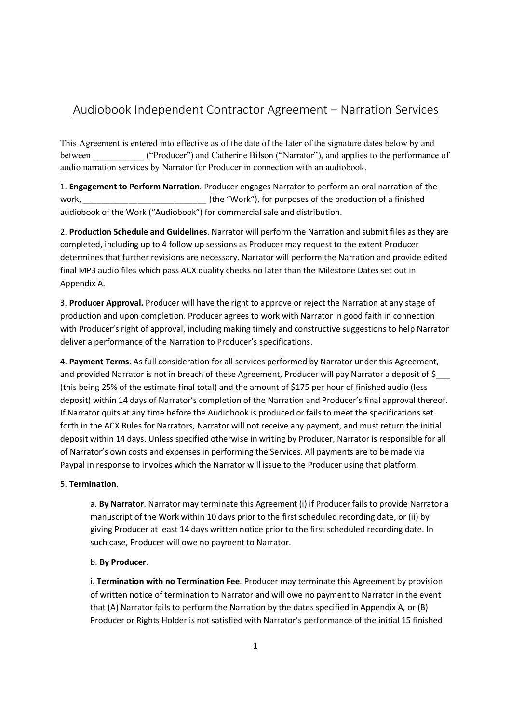# Audiobook Independent Contractor Agreement – Narration Services

This Agreement is entered into effective as of the date of the later of the signature dates below by and between ("Producer") and Catherine Bilson ("Narrator"), and applies to the performance of audio narration services by Narrator for Producer in connection with an audiobook.

1. **Engagement to Perform Narration**. Producer engages Narrator to perform an oral narration of the work, *work work mush in the "Work"), for purposes of the production of a finished* audiobook of the Work ("Audiobook") for commercial sale and distribution.

2. **Production Schedule and Guidelines**. Narrator will perform the Narration and submit files as they are completed, including up to 4 follow up sessions as Producer may request to the extent Producer determines that further revisions are necessary. Narrator will perform the Narration and provide edited final MP3 audio files which pass ACX quality checks no later than the Milestone Dates set out in Appendix A.

3. **Producer Approval.** Producer will have the right to approve or reject the Narration at any stage of production and upon completion. Producer agrees to work with Narrator in good faith in connection with Producer's right of approval, including making timely and constructive suggestions to help Narrator deliver a performance of the Narration to Producer's specifications.

4. **Payment Terms**. As full consideration for all services performed by Narrator under this Agreement, and provided Narrator is not in breach of these Agreement, Producer will pay Narrator a deposit of \$ (this being 25% of the estimate final total) and the amount of \$175 per hour of finished audio (less deposit) within 14 days of Narrator's completion of the Narration and Producer's final approval thereof. If Narrator quits at any time before the Audiobook is produced or fails to meet the specifications set forth in the ACX Rules for Narrators, Narrator will not receive any payment, and must return the initial deposit within 14 days. Unless specified otherwise in writing by Producer, Narrator is responsible for all of Narrator's own costs and expenses in performing the Services. All payments are to be made via Paypal in response to invoices which the Narrator will issue to the Producer using that platform.

## 5. **Termination**.

a. **By Narrator**. Narrator may terminate this Agreement (i) if Producer fails to provide Narrator a manuscript of the Work within 10 days prior to the first scheduled recording date, or (ii) by giving Producer at least 14 days written notice prior to the first scheduled recording date. In such case, Producer will owe no payment to Narrator.

## b. **By Producer**.

i. **Termination with no Termination Fee**. Producer may terminate this Agreement by provision of written notice of termination to Narrator and will owe no payment to Narrator in the event that (A) Narrator fails to perform the Narration by the dates specified in Appendix A, or (B) Producer or Rights Holder is not satisfied with Narrator's performance of the initial 15 finished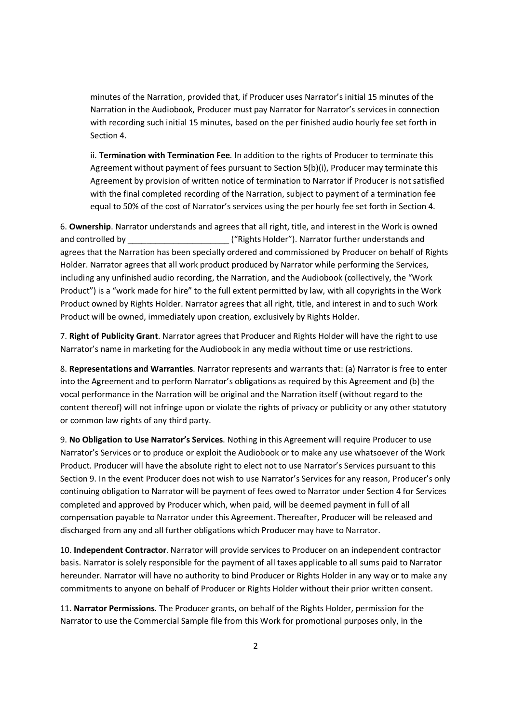minutes of the Narration, provided that, if Producer uses Narrator's initial 15 minutes of the Narration in the Audiobook, Producer must pay Narrator for Narrator's services in connection with recording such initial 15 minutes, based on the per finished audio hourly fee set forth in Section 4.

ii. **Termination with Termination Fee**. In addition to the rights of Producer to terminate this Agreement without payment of fees pursuant to Section 5(b)(i), Producer may terminate this Agreement by provision of written notice of termination to Narrator if Producer is not satisfied with the final completed recording of the Narration, subject to payment of a termination fee equal to 50% of the cost of Narrator's services using the per hourly fee set forth in Section 4.

6. **Ownership**. Narrator understands and agrees that all right, title, and interest in the Work is owned and controlled by  $($ "Rights Holder"). Narrator further understands and agrees that the Narration has been specially ordered and commissioned by Producer on behalf of Rights Holder. Narrator agrees that all work product produced by Narrator while performing the Services, including any unfinished audio recording, the Narration, and the Audiobook (collectively, the "Work Product") is a "work made for hire" to the full extent permitted by law, with all copyrights in the Work Product owned by Rights Holder. Narrator agrees that all right, title, and interest in and to such Work Product will be owned, immediately upon creation, exclusively by Rights Holder.

7. **Right of Publicity Grant**. Narrator agrees that Producer and Rights Holder will have the right to use Narrator's name in marketing for the Audiobook in any media without time or use restrictions.

8. **Representations and Warranties**. Narrator represents and warrants that: (a) Narrator is free to enter into the Agreement and to perform Narrator's obligations as required by this Agreement and (b) the vocal performance in the Narration will be original and the Narration itself (without regard to the content thereof) will not infringe upon or violate the rights of privacy or publicity or any other statutory or common law rights of any third party.

9. **No Obligation to Use Narrator's Services**. Nothing in this Agreement will require Producer to use Narrator's Services or to produce or exploit the Audiobook or to make any use whatsoever of the Work Product. Producer will have the absolute right to elect not to use Narrator's Services pursuant to this Section 9. In the event Producer does not wish to use Narrator's Services for any reason, Producer's only continuing obligation to Narrator will be payment of fees owed to Narrator under Section 4 for Services completed and approved by Producer which, when paid, will be deemed payment in full of all compensation payable to Narrator under this Agreement. Thereafter, Producer will be released and discharged from any and all further obligations which Producer may have to Narrator.

10. **Independent Contractor**. Narrator will provide services to Producer on an independent contractor basis. Narrator is solely responsible for the payment of all taxes applicable to all sums paid to Narrator hereunder. Narrator will have no authority to bind Producer or Rights Holder in any way or to make any commitments to anyone on behalf of Producer or Rights Holder without their prior written consent.

11. **Narrator Permissions**. The Producer grants, on behalf of the Rights Holder, permission for the Narrator to use the Commercial Sample file from this Work for promotional purposes only, in the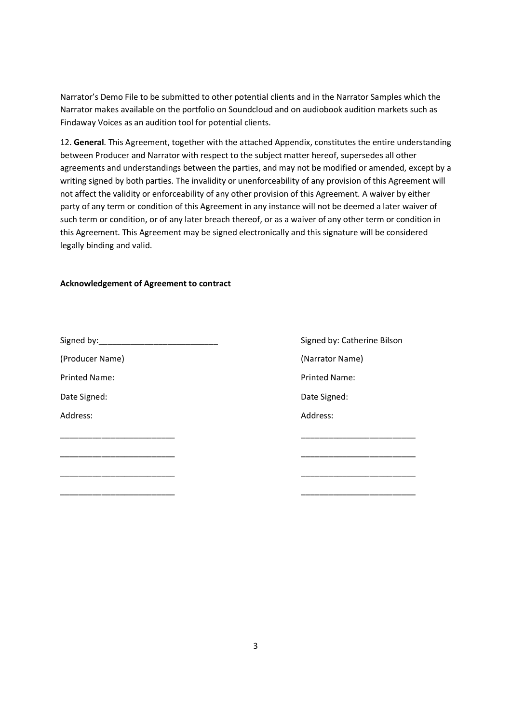Narrator's Demo File to be submitted to other potential clients and in the Narrator Samples which the Narrator makes available on the portfolio on Soundcloud and on audiobook audition markets such as Findaway Voices as an audition tool for potential clients.

12. **General**. This Agreement, together with the attached Appendix, constitutes the entire understanding between Producer and Narrator with respect to the subject matter hereof, supersedes all other agreements and understandings between the parties, and may not be modified or amended, except by a writing signed by both parties. The invalidity or unenforceability of any provision of this Agreement will not affect the validity or enforceability of any other provision of this Agreement. A waiver by either party of any term or condition of this Agreement in any instance will not be deemed a later waiver of such term or condition, or of any later breach thereof, or as a waiver of any other term or condition in this Agreement. This Agreement may be signed electronically and this signature will be considered legally binding and valid.

#### **Acknowledgement of Agreement to contract**

| Signed by: Signed by: | Signed by: Catherine Bilson |
|-----------------------|-----------------------------|
| (Producer Name)       | (Narrator Name)             |
| <b>Printed Name:</b>  | <b>Printed Name:</b>        |
| Date Signed:          | Date Signed:                |
| Address:              | Address:                    |
|                       |                             |
|                       |                             |
|                       |                             |
|                       |                             |